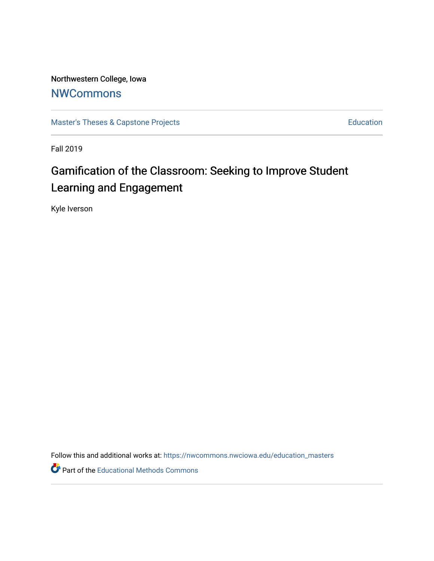Northwestern College, Iowa **[NWCommons](https://nwcommons.nwciowa.edu/)** 

[Master's Theses & Capstone Projects](https://nwcommons.nwciowa.edu/education_masters) **Education** Education

Fall 2019

# Gamification of the Classroom: Seeking to Improve Student Learning and Engagement

Kyle Iverson

Follow this and additional works at: [https://nwcommons.nwciowa.edu/education\\_masters](https://nwcommons.nwciowa.edu/education_masters?utm_source=nwcommons.nwciowa.edu%2Feducation_masters%2F182&utm_medium=PDF&utm_campaign=PDFCoverPages)

Part of the [Educational Methods Commons](http://network.bepress.com/hgg/discipline/1227?utm_source=nwcommons.nwciowa.edu%2Feducation_masters%2F182&utm_medium=PDF&utm_campaign=PDFCoverPages)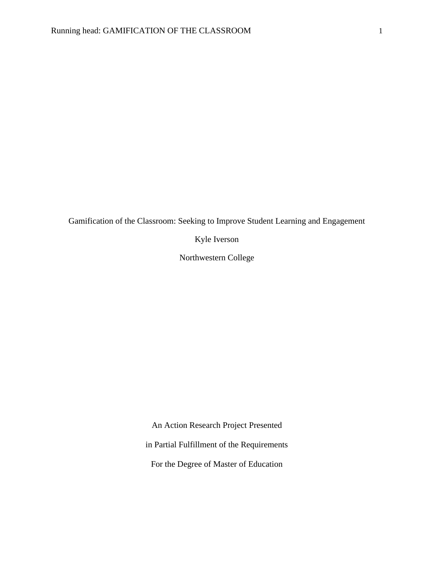Gamification of the Classroom: Seeking to Improve Student Learning and Engagement

Kyle Iverson

Northwestern College

An Action Research Project Presented

in Partial Fulfillment of the Requirements

For the Degree of Master of Education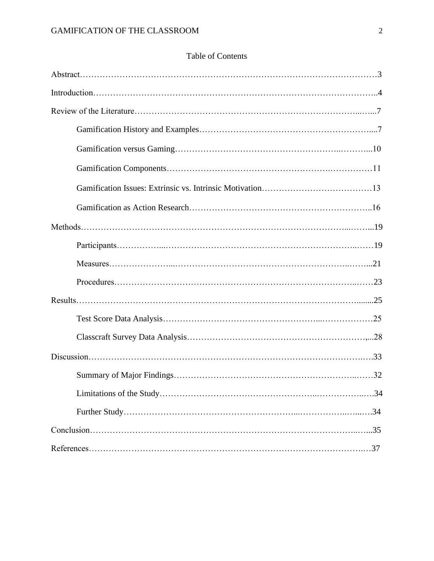| <b>Table of Contents</b> |  |
|--------------------------|--|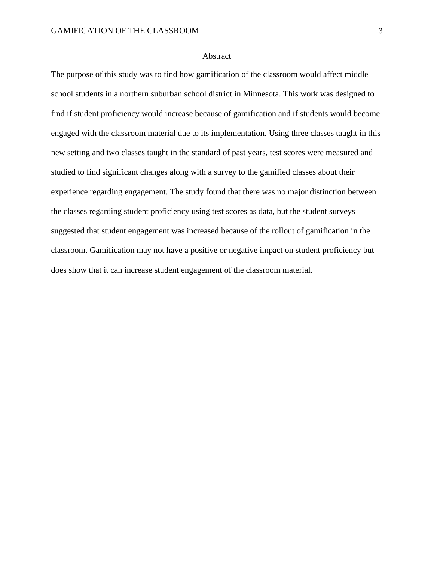## Abstract

The purpose of this study was to find how gamification of the classroom would affect middle school students in a northern suburban school district in Minnesota. This work was designed to find if student proficiency would increase because of gamification and if students would become engaged with the classroom material due to its implementation. Using three classes taught in this new setting and two classes taught in the standard of past years, test scores were measured and studied to find significant changes along with a survey to the gamified classes about their experience regarding engagement. The study found that there was no major distinction between the classes regarding student proficiency using test scores as data, but the student surveys suggested that student engagement was increased because of the rollout of gamification in the classroom. Gamification may not have a positive or negative impact on student proficiency but does show that it can increase student engagement of the classroom material.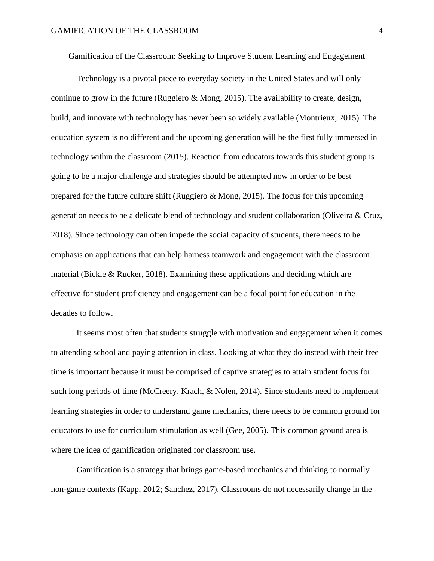Gamification of the Classroom: Seeking to Improve Student Learning and Engagement

Technology is a pivotal piece to everyday society in the United States and will only continue to grow in the future (Ruggiero  $\&$  Mong, 2015). The availability to create, design, build, and innovate with technology has never been so widely available (Montrieux, 2015). The education system is no different and the upcoming generation will be the first fully immersed in technology within the classroom (2015). Reaction from educators towards this student group is going to be a major challenge and strategies should be attempted now in order to be best prepared for the future culture shift (Ruggiero & Mong, 2015). The focus for this upcoming generation needs to be a delicate blend of technology and student collaboration (Oliveira & Cruz, 2018). Since technology can often impede the social capacity of students, there needs to be emphasis on applications that can help harness teamwork and engagement with the classroom material (Bickle & Rucker, 2018). Examining these applications and deciding which are effective for student proficiency and engagement can be a focal point for education in the decades to follow.

It seems most often that students struggle with motivation and engagement when it comes to attending school and paying attention in class. Looking at what they do instead with their free time is important because it must be comprised of captive strategies to attain student focus for such long periods of time (McCreery, Krach, & Nolen, 2014). Since students need to implement learning strategies in order to understand game mechanics, there needs to be common ground for educators to use for curriculum stimulation as well (Gee, 2005). This common ground area is where the idea of gamification originated for classroom use.

Gamification is a strategy that brings game-based mechanics and thinking to normally non-game contexts (Kapp, 2012; Sanchez, 2017). Classrooms do not necessarily change in the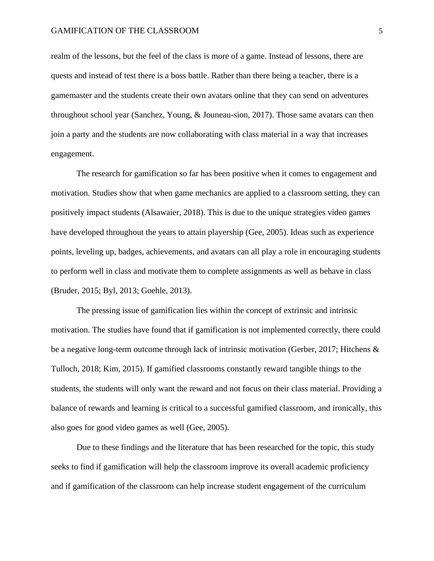realm of the lessons, but the feel of the class is more of a game. Instead of lessons, there are quests and instead of test there is a boss battle. Rather than there being a teacher, there is a gamemaster and the students create their own avatars online that they can send on adventures throughout school year (Sanchez, Young, & Jouneau-sion, 2017). Those same avatars can then join a party and the students are now collaborating with class material in a way that increases engagement.

The research for gamification so far has been positive when it comes to engagement and motivation. Studies show that when game mechanics are applied to a classroom setting, they can positively impact students (Alsawaier, 2018). This is due to the unique strategies video games have developed throughout the years to attain playership (Gee, 2005). Ideas such as experience points, leveling up, badges, achievements, and avatars can all play a role in encouraging students to perform well in class and motivate them to complete assignments as well as behave in class (Bruder, 2015; Byl, 2013; Goehle, 2013).

The pressing issue of gamification lies within the concept of extrinsic and intrinsic motivation. The studies have found that if gamification is not implemented correctly, there could be a negative long-term outcome through lack of intrinsic motivation (Gerber, 2017; Hitchens & Tulloch, 2018; Kim, 2015). If gamified classrooms constantly reward tangible things to the students, the students will only want the reward and not focus on their class material. Providing a balance of rewards and learning is critical to a successful gamified classroom, and ironically, this also goes for good video games as well (Gee, 2005).

Due to these findings and the literature that has been researched for the topic, this study seeks to find if gamification will help the classroom improve its overall academic proficiency and if gamification of the classroom can help increase student engagement of the curriculum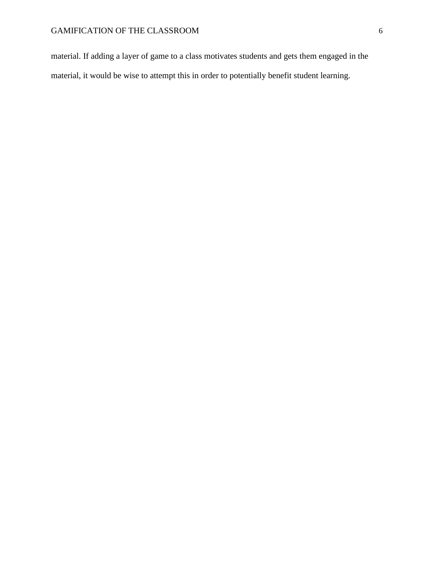# GAMIFICATION OF THE CLASSROOM  $\qquad \qquad \mbox{6}$

material. If adding a layer of game to a class motivates students and gets them engaged in the material, it would be wise to attempt this in order to potentially benefit student learning.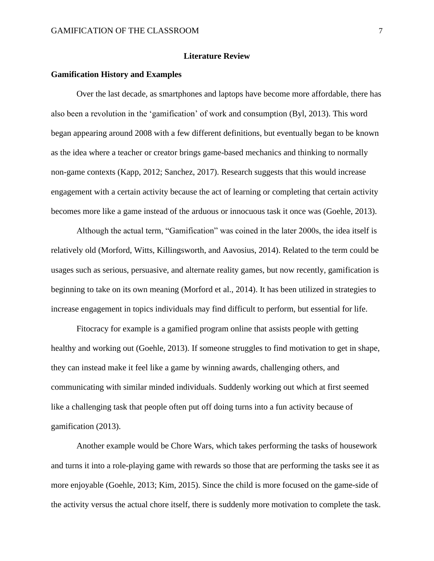## **Literature Review**

#### **Gamification History and Examples**

Over the last decade, as smartphones and laptops have become more affordable, there has also been a revolution in the 'gamification' of work and consumption (Byl, 2013). This word began appearing around 2008 with a few different definitions, but eventually began to be known as the idea where a teacher or creator brings game-based mechanics and thinking to normally non-game contexts (Kapp, 2012; Sanchez, 2017). Research suggests that this would increase engagement with a certain activity because the act of learning or completing that certain activity becomes more like a game instead of the arduous or innocuous task it once was (Goehle, 2013).

Although the actual term, "Gamification" was coined in the later 2000s, the idea itself is relatively old (Morford, Witts, Killingsworth, and Aavosius, 2014). Related to the term could be usages such as serious, persuasive, and alternate reality games, but now recently, gamification is beginning to take on its own meaning (Morford et al., 2014). It has been utilized in strategies to increase engagement in topics individuals may find difficult to perform, but essential for life.

Fitocracy for example is a gamified program online that assists people with getting healthy and working out (Goehle, 2013). If someone struggles to find motivation to get in shape, they can instead make it feel like a game by winning awards, challenging others, and communicating with similar minded individuals. Suddenly working out which at first seemed like a challenging task that people often put off doing turns into a fun activity because of gamification (2013).

Another example would be Chore Wars, which takes performing the tasks of housework and turns it into a role-playing game with rewards so those that are performing the tasks see it as more enjoyable (Goehle, 2013; Kim, 2015). Since the child is more focused on the game-side of the activity versus the actual chore itself, there is suddenly more motivation to complete the task.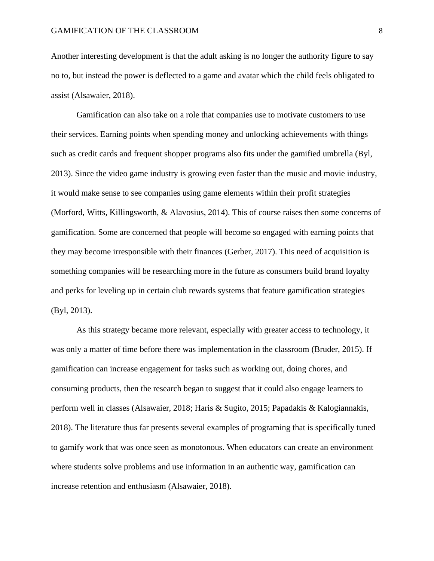Another interesting development is that the adult asking is no longer the authority figure to say no to, but instead the power is deflected to a game and avatar which the child feels obligated to assist (Alsawaier, 2018).

Gamification can also take on a role that companies use to motivate customers to use their services. Earning points when spending money and unlocking achievements with things such as credit cards and frequent shopper programs also fits under the gamified umbrella (Byl, 2013). Since the video game industry is growing even faster than the music and movie industry, it would make sense to see companies using game elements within their profit strategies (Morford, Witts, Killingsworth, & Alavosius, 2014). This of course raises then some concerns of gamification. Some are concerned that people will become so engaged with earning points that they may become irresponsible with their finances (Gerber, 2017). This need of acquisition is something companies will be researching more in the future as consumers build brand loyalty and perks for leveling up in certain club rewards systems that feature gamification strategies (Byl, 2013).

As this strategy became more relevant, especially with greater access to technology, it was only a matter of time before there was implementation in the classroom (Bruder, 2015). If gamification can increase engagement for tasks such as working out, doing chores, and consuming products, then the research began to suggest that it could also engage learners to perform well in classes (Alsawaier, 2018; Haris & Sugito, 2015; Papadakis & Kalogiannakis, 2018). The literature thus far presents several examples of programing that is specifically tuned to gamify work that was once seen as monotonous. When educators can create an environment where students solve problems and use information in an authentic way, gamification can increase retention and enthusiasm (Alsawaier, 2018).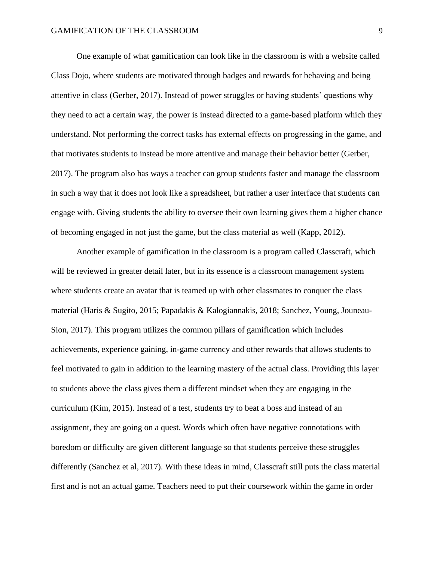One example of what gamification can look like in the classroom is with a website called Class Dojo, where students are motivated through badges and rewards for behaving and being attentive in class (Gerber, 2017). Instead of power struggles or having students' questions why they need to act a certain way, the power is instead directed to a game-based platform which they understand. Not performing the correct tasks has external effects on progressing in the game, and that motivates students to instead be more attentive and manage their behavior better (Gerber, 2017). The program also has ways a teacher can group students faster and manage the classroom in such a way that it does not look like a spreadsheet, but rather a user interface that students can engage with. Giving students the ability to oversee their own learning gives them a higher chance of becoming engaged in not just the game, but the class material as well (Kapp, 2012).

Another example of gamification in the classroom is a program called Classcraft, which will be reviewed in greater detail later, but in its essence is a classroom management system where students create an avatar that is teamed up with other classmates to conquer the class material (Haris & Sugito, 2015; Papadakis & Kalogiannakis, 2018; Sanchez, Young, Jouneau-Sion, 2017). This program utilizes the common pillars of gamification which includes achievements, experience gaining, in-game currency and other rewards that allows students to feel motivated to gain in addition to the learning mastery of the actual class. Providing this layer to students above the class gives them a different mindset when they are engaging in the curriculum (Kim, 2015). Instead of a test, students try to beat a boss and instead of an assignment, they are going on a quest. Words which often have negative connotations with boredom or difficulty are given different language so that students perceive these struggles differently (Sanchez et al, 2017). With these ideas in mind, Classcraft still puts the class material first and is not an actual game. Teachers need to put their coursework within the game in order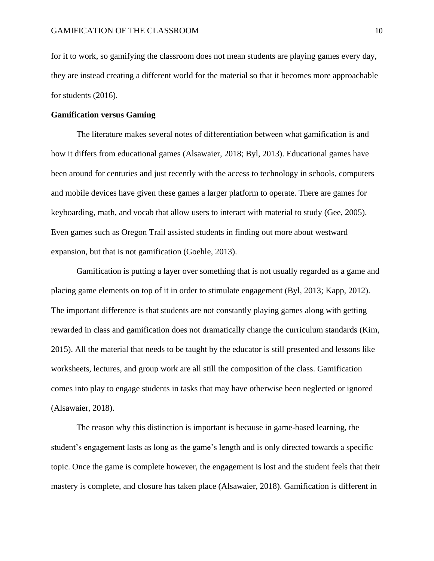for it to work, so gamifying the classroom does not mean students are playing games every day, they are instead creating a different world for the material so that it becomes more approachable for students (2016).

## **Gamification versus Gaming**

The literature makes several notes of differentiation between what gamification is and how it differs from educational games (Alsawaier, 2018; Byl, 2013). Educational games have been around for centuries and just recently with the access to technology in schools, computers and mobile devices have given these games a larger platform to operate. There are games for keyboarding, math, and vocab that allow users to interact with material to study (Gee, 2005). Even games such as Oregon Trail assisted students in finding out more about westward expansion, but that is not gamification (Goehle, 2013).

Gamification is putting a layer over something that is not usually regarded as a game and placing game elements on top of it in order to stimulate engagement (Byl, 2013; Kapp, 2012). The important difference is that students are not constantly playing games along with getting rewarded in class and gamification does not dramatically change the curriculum standards (Kim, 2015). All the material that needs to be taught by the educator is still presented and lessons like worksheets, lectures, and group work are all still the composition of the class. Gamification comes into play to engage students in tasks that may have otherwise been neglected or ignored (Alsawaier, 2018).

The reason why this distinction is important is because in game-based learning, the student's engagement lasts as long as the game's length and is only directed towards a specific topic. Once the game is complete however, the engagement is lost and the student feels that their mastery is complete, and closure has taken place (Alsawaier, 2018). Gamification is different in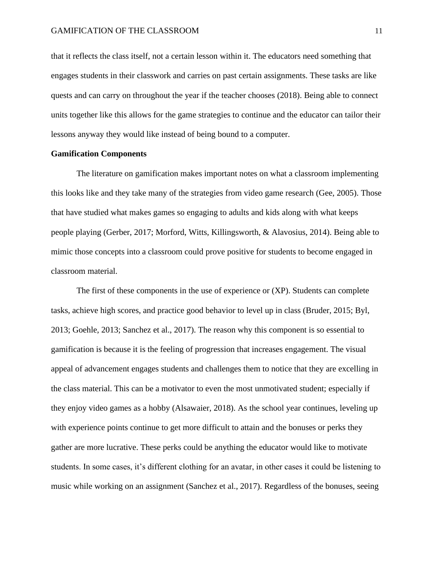that it reflects the class itself, not a certain lesson within it. The educators need something that engages students in their classwork and carries on past certain assignments. These tasks are like quests and can carry on throughout the year if the teacher chooses (2018). Being able to connect units together like this allows for the game strategies to continue and the educator can tailor their lessons anyway they would like instead of being bound to a computer.

#### **Gamification Components**

The literature on gamification makes important notes on what a classroom implementing this looks like and they take many of the strategies from video game research (Gee, 2005). Those that have studied what makes games so engaging to adults and kids along with what keeps people playing (Gerber, 2017; Morford, Witts, Killingsworth, & Alavosius, 2014). Being able to mimic those concepts into a classroom could prove positive for students to become engaged in classroom material.

The first of these components in the use of experience or (XP). Students can complete tasks, achieve high scores, and practice good behavior to level up in class (Bruder, 2015; Byl, 2013; Goehle, 2013; Sanchez et al., 2017). The reason why this component is so essential to gamification is because it is the feeling of progression that increases engagement. The visual appeal of advancement engages students and challenges them to notice that they are excelling in the class material. This can be a motivator to even the most unmotivated student; especially if they enjoy video games as a hobby (Alsawaier, 2018). As the school year continues, leveling up with experience points continue to get more difficult to attain and the bonuses or perks they gather are more lucrative. These perks could be anything the educator would like to motivate students. In some cases, it's different clothing for an avatar, in other cases it could be listening to music while working on an assignment (Sanchez et al., 2017). Regardless of the bonuses, seeing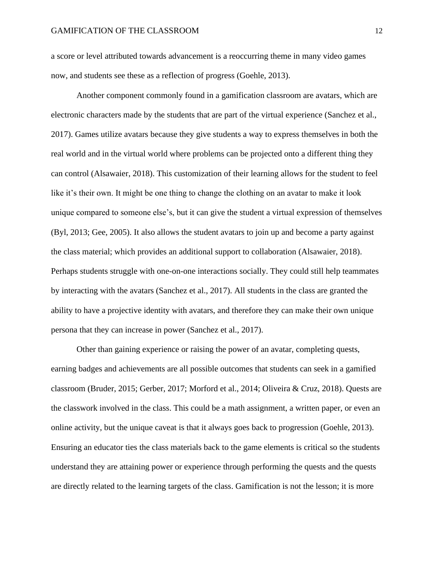a score or level attributed towards advancement is a reoccurring theme in many video games now, and students see these as a reflection of progress (Goehle, 2013).

Another component commonly found in a gamification classroom are avatars, which are electronic characters made by the students that are part of the virtual experience (Sanchez et al., 2017). Games utilize avatars because they give students a way to express themselves in both the real world and in the virtual world where problems can be projected onto a different thing they can control (Alsawaier, 2018). This customization of their learning allows for the student to feel like it's their own. It might be one thing to change the clothing on an avatar to make it look unique compared to someone else's, but it can give the student a virtual expression of themselves (Byl, 2013; Gee, 2005). It also allows the student avatars to join up and become a party against the class material; which provides an additional support to collaboration (Alsawaier, 2018). Perhaps students struggle with one-on-one interactions socially. They could still help teammates by interacting with the avatars (Sanchez et al., 2017). All students in the class are granted the ability to have a projective identity with avatars, and therefore they can make their own unique persona that they can increase in power (Sanchez et al., 2017).

Other than gaining experience or raising the power of an avatar, completing quests, earning badges and achievements are all possible outcomes that students can seek in a gamified classroom (Bruder, 2015; Gerber, 2017; Morford et al., 2014; Oliveira & Cruz, 2018). Quests are the classwork involved in the class. This could be a math assignment, a written paper, or even an online activity, but the unique caveat is that it always goes back to progression (Goehle, 2013). Ensuring an educator ties the class materials back to the game elements is critical so the students understand they are attaining power or experience through performing the quests and the quests are directly related to the learning targets of the class. Gamification is not the lesson; it is more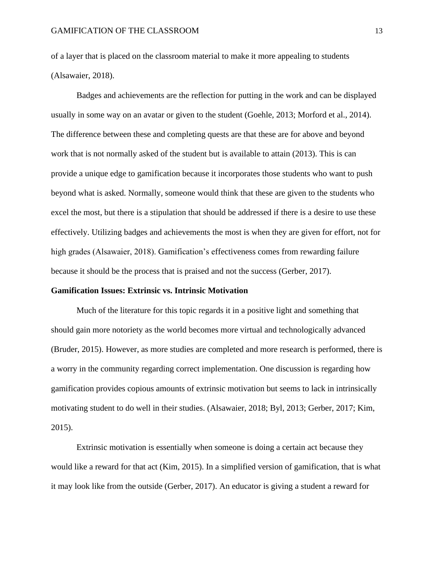of a layer that is placed on the classroom material to make it more appealing to students (Alsawaier, 2018).

Badges and achievements are the reflection for putting in the work and can be displayed usually in some way on an avatar or given to the student (Goehle, 2013; Morford et al., 2014). The difference between these and completing quests are that these are for above and beyond work that is not normally asked of the student but is available to attain (2013). This is can provide a unique edge to gamification because it incorporates those students who want to push beyond what is asked. Normally, someone would think that these are given to the students who excel the most, but there is a stipulation that should be addressed if there is a desire to use these effectively. Utilizing badges and achievements the most is when they are given for effort, not for high grades (Alsawaier, 2018). Gamification's effectiveness comes from rewarding failure because it should be the process that is praised and not the success (Gerber, 2017).

#### **Gamification Issues: Extrinsic vs. Intrinsic Motivation**

Much of the literature for this topic regards it in a positive light and something that should gain more notoriety as the world becomes more virtual and technologically advanced (Bruder, 2015). However, as more studies are completed and more research is performed, there is a worry in the community regarding correct implementation. One discussion is regarding how gamification provides copious amounts of extrinsic motivation but seems to lack in intrinsically motivating student to do well in their studies. (Alsawaier, 2018; Byl, 2013; Gerber, 2017; Kim, 2015).

Extrinsic motivation is essentially when someone is doing a certain act because they would like a reward for that act (Kim, 2015). In a simplified version of gamification, that is what it may look like from the outside (Gerber, 2017). An educator is giving a student a reward for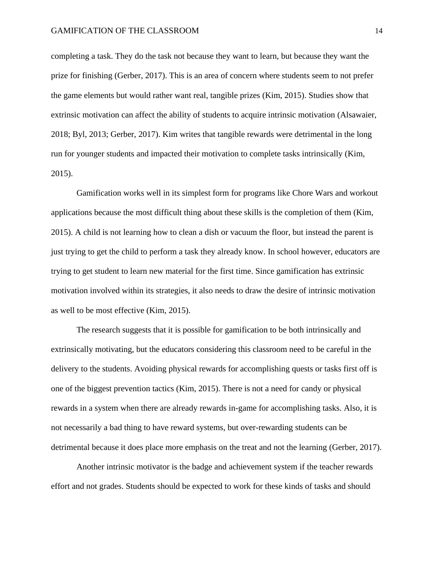completing a task. They do the task not because they want to learn, but because they want the prize for finishing (Gerber, 2017). This is an area of concern where students seem to not prefer the game elements but would rather want real, tangible prizes (Kim, 2015). Studies show that extrinsic motivation can affect the ability of students to acquire intrinsic motivation (Alsawaier, 2018; Byl, 2013; Gerber, 2017). Kim writes that tangible rewards were detrimental in the long run for younger students and impacted their motivation to complete tasks intrinsically (Kim, 2015).

Gamification works well in its simplest form for programs like Chore Wars and workout applications because the most difficult thing about these skills is the completion of them (Kim, 2015). A child is not learning how to clean a dish or vacuum the floor, but instead the parent is just trying to get the child to perform a task they already know. In school however, educators are trying to get student to learn new material for the first time. Since gamification has extrinsic motivation involved within its strategies, it also needs to draw the desire of intrinsic motivation as well to be most effective (Kim, 2015).

The research suggests that it is possible for gamification to be both intrinsically and extrinsically motivating, but the educators considering this classroom need to be careful in the delivery to the students. Avoiding physical rewards for accomplishing quests or tasks first off is one of the biggest prevention tactics (Kim, 2015). There is not a need for candy or physical rewards in a system when there are already rewards in-game for accomplishing tasks. Also, it is not necessarily a bad thing to have reward systems, but over-rewarding students can be detrimental because it does place more emphasis on the treat and not the learning (Gerber, 2017).

Another intrinsic motivator is the badge and achievement system if the teacher rewards effort and not grades. Students should be expected to work for these kinds of tasks and should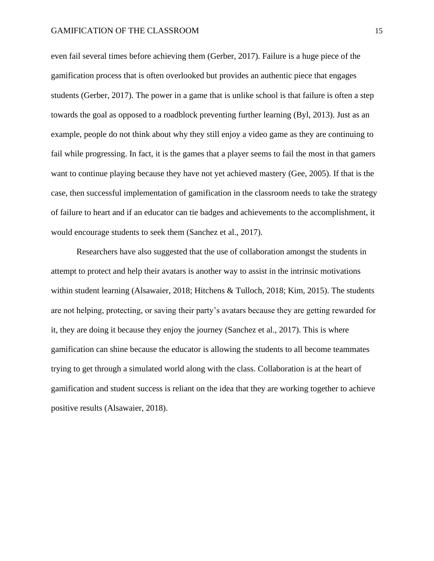even fail several times before achieving them (Gerber, 2017). Failure is a huge piece of the gamification process that is often overlooked but provides an authentic piece that engages students (Gerber, 2017). The power in a game that is unlike school is that failure is often a step towards the goal as opposed to a roadblock preventing further learning (Byl, 2013). Just as an example, people do not think about why they still enjoy a video game as they are continuing to fail while progressing. In fact, it is the games that a player seems to fail the most in that gamers want to continue playing because they have not yet achieved mastery (Gee, 2005). If that is the case, then successful implementation of gamification in the classroom needs to take the strategy of failure to heart and if an educator can tie badges and achievements to the accomplishment, it would encourage students to seek them (Sanchez et al., 2017).

Researchers have also suggested that the use of collaboration amongst the students in attempt to protect and help their avatars is another way to assist in the intrinsic motivations within student learning (Alsawaier, 2018; Hitchens & Tulloch, 2018; Kim, 2015). The students are not helping, protecting, or saving their party's avatars because they are getting rewarded for it, they are doing it because they enjoy the journey (Sanchez et al., 2017). This is where gamification can shine because the educator is allowing the students to all become teammates trying to get through a simulated world along with the class. Collaboration is at the heart of gamification and student success is reliant on the idea that they are working together to achieve positive results (Alsawaier, 2018).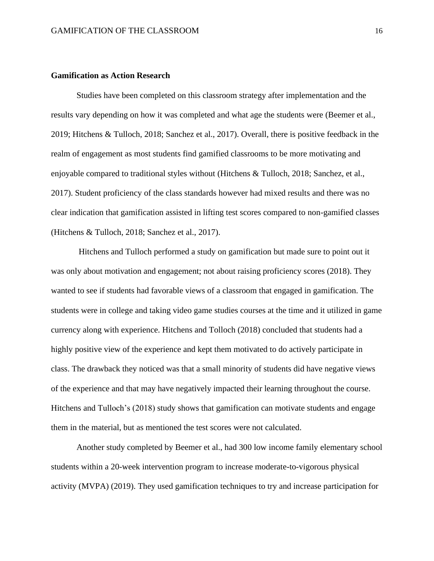#### **Gamification as Action Research**

Studies have been completed on this classroom strategy after implementation and the results vary depending on how it was completed and what age the students were (Beemer et al., 2019; Hitchens & Tulloch, 2018; Sanchez et al., 2017). Overall, there is positive feedback in the realm of engagement as most students find gamified classrooms to be more motivating and enjoyable compared to traditional styles without (Hitchens & Tulloch, 2018; Sanchez, et al., 2017). Student proficiency of the class standards however had mixed results and there was no clear indication that gamification assisted in lifting test scores compared to non-gamified classes (Hitchens & Tulloch, 2018; Sanchez et al., 2017).

Hitchens and Tulloch performed a study on gamification but made sure to point out it was only about motivation and engagement; not about raising proficiency scores (2018). They wanted to see if students had favorable views of a classroom that engaged in gamification. The students were in college and taking video game studies courses at the time and it utilized in game currency along with experience. Hitchens and Tolloch (2018) concluded that students had a highly positive view of the experience and kept them motivated to do actively participate in class. The drawback they noticed was that a small minority of students did have negative views of the experience and that may have negatively impacted their learning throughout the course. Hitchens and Tulloch's (2018) study shows that gamification can motivate students and engage them in the material, but as mentioned the test scores were not calculated.

Another study completed by Beemer et al., had 300 low income family elementary school students within a 20-week intervention program to increase moderate-to-vigorous physical activity (MVPA) (2019). They used gamification techniques to try and increase participation for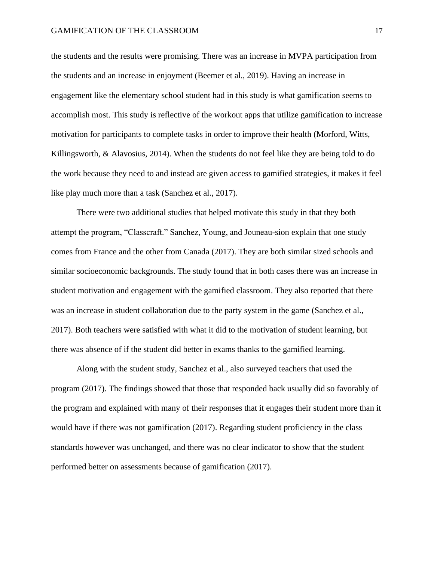the students and the results were promising. There was an increase in MVPA participation from the students and an increase in enjoyment (Beemer et al., 2019). Having an increase in engagement like the elementary school student had in this study is what gamification seems to accomplish most. This study is reflective of the workout apps that utilize gamification to increase motivation for participants to complete tasks in order to improve their health (Morford, Witts, Killingsworth, & Alavosius, 2014). When the students do not feel like they are being told to do the work because they need to and instead are given access to gamified strategies, it makes it feel like play much more than a task (Sanchez et al., 2017).

There were two additional studies that helped motivate this study in that they both attempt the program, "Classcraft." Sanchez, Young, and Jouneau-sion explain that one study comes from France and the other from Canada (2017). They are both similar sized schools and similar socioeconomic backgrounds. The study found that in both cases there was an increase in student motivation and engagement with the gamified classroom. They also reported that there was an increase in student collaboration due to the party system in the game (Sanchez et al., 2017). Both teachers were satisfied with what it did to the motivation of student learning, but there was absence of if the student did better in exams thanks to the gamified learning.

Along with the student study, Sanchez et al., also surveyed teachers that used the program (2017). The findings showed that those that responded back usually did so favorably of the program and explained with many of their responses that it engages their student more than it would have if there was not gamification (2017). Regarding student proficiency in the class standards however was unchanged, and there was no clear indicator to show that the student performed better on assessments because of gamification (2017).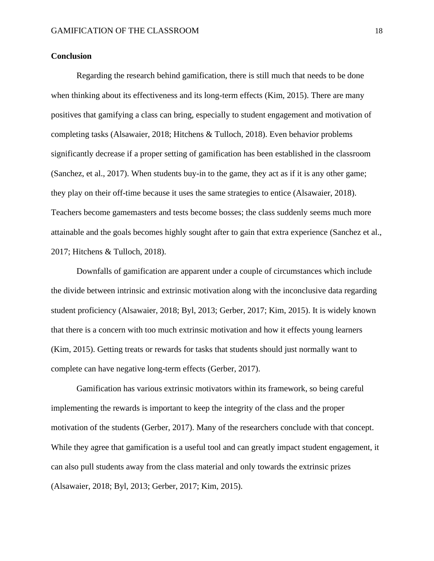## **Conclusion**

Regarding the research behind gamification, there is still much that needs to be done when thinking about its effectiveness and its long-term effects (Kim, 2015). There are many positives that gamifying a class can bring, especially to student engagement and motivation of completing tasks (Alsawaier, 2018; Hitchens & Tulloch, 2018). Even behavior problems significantly decrease if a proper setting of gamification has been established in the classroom (Sanchez, et al., 2017). When students buy-in to the game, they act as if it is any other game; they play on their off-time because it uses the same strategies to entice (Alsawaier, 2018). Teachers become gamemasters and tests become bosses; the class suddenly seems much more attainable and the goals becomes highly sought after to gain that extra experience (Sanchez et al., 2017; Hitchens & Tulloch, 2018).

Downfalls of gamification are apparent under a couple of circumstances which include the divide between intrinsic and extrinsic motivation along with the inconclusive data regarding student proficiency (Alsawaier, 2018; Byl, 2013; Gerber, 2017; Kim, 2015). It is widely known that there is a concern with too much extrinsic motivation and how it effects young learners (Kim, 2015). Getting treats or rewards for tasks that students should just normally want to complete can have negative long-term effects (Gerber, 2017).

Gamification has various extrinsic motivators within its framework, so being careful implementing the rewards is important to keep the integrity of the class and the proper motivation of the students (Gerber, 2017). Many of the researchers conclude with that concept. While they agree that gamification is a useful tool and can greatly impact student engagement, it can also pull students away from the class material and only towards the extrinsic prizes (Alsawaier, 2018; Byl, 2013; Gerber, 2017; Kim, 2015).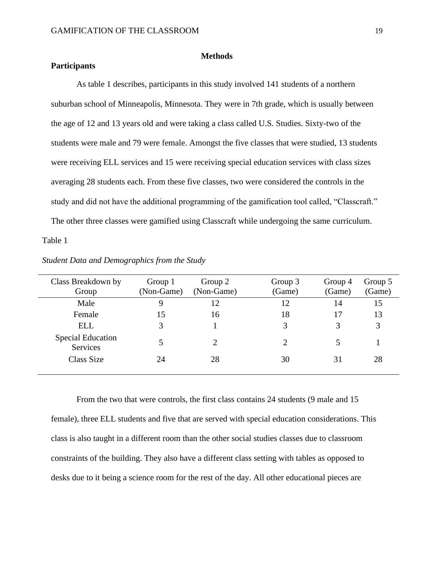### **Methods**

## **Participants**

As table 1 describes, participants in this study involved 141 students of a northern suburban school of Minneapolis, Minnesota. They were in 7th grade, which is usually between the age of 12 and 13 years old and were taking a class called U.S. Studies. Sixty-two of the students were male and 79 were female. Amongst the five classes that were studied, 13 students were receiving ELL services and 15 were receiving special education services with class sizes averaging 28 students each. From these five classes, two were considered the controls in the study and did not have the additional programming of the gamification tool called, "Classcraft." The other three classes were gamified using Classcraft while undergoing the same curriculum.

#### Table 1

| Class Breakdown by<br>Group          | Group 1<br>(Non-Game) | Group 2<br>(Non-Game) | Group 3<br>(Game) | Group 4<br>(Game) | Group 5<br>(Game) |
|--------------------------------------|-----------------------|-----------------------|-------------------|-------------------|-------------------|
| Male                                 | 9                     | 12                    | 12                | 14                | 15                |
| Female                               | 15                    | 16                    | 18                | 17                | 13                |
| ELL                                  |                       |                       | 3                 | 3                 | 3                 |
| <b>Special Education</b><br>Services |                       | 2                     | 2                 |                   |                   |
| Class Size                           | 24                    | 28                    | 30                | 31                | 28                |
|                                      |                       |                       |                   |                   |                   |

*Student Data and Demographics from the Study*

From the two that were controls, the first class contains 24 students (9 male and 15 female), three ELL students and five that are served with special education considerations. This class is also taught in a different room than the other social studies classes due to classroom constraints of the building. They also have a different class setting with tables as opposed to desks due to it being a science room for the rest of the day. All other educational pieces are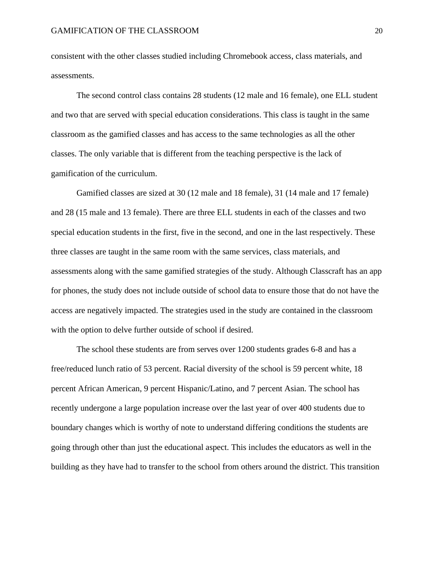consistent with the other classes studied including Chromebook access, class materials, and assessments.

The second control class contains 28 students (12 male and 16 female), one ELL student and two that are served with special education considerations. This class is taught in the same classroom as the gamified classes and has access to the same technologies as all the other classes. The only variable that is different from the teaching perspective is the lack of gamification of the curriculum.

Gamified classes are sized at 30 (12 male and 18 female), 31 (14 male and 17 female) and 28 (15 male and 13 female). There are three ELL students in each of the classes and two special education students in the first, five in the second, and one in the last respectively. These three classes are taught in the same room with the same services, class materials, and assessments along with the same gamified strategies of the study. Although Classcraft has an app for phones, the study does not include outside of school data to ensure those that do not have the access are negatively impacted. The strategies used in the study are contained in the classroom with the option to delve further outside of school if desired.

The school these students are from serves over 1200 students grades 6-8 and has a free/reduced lunch ratio of 53 percent. Racial diversity of the school is 59 percent white, 18 percent African American, 9 percent Hispanic/Latino, and 7 percent Asian. The school has recently undergone a large population increase over the last year of over 400 students due to boundary changes which is worthy of note to understand differing conditions the students are going through other than just the educational aspect. This includes the educators as well in the building as they have had to transfer to the school from others around the district. This transition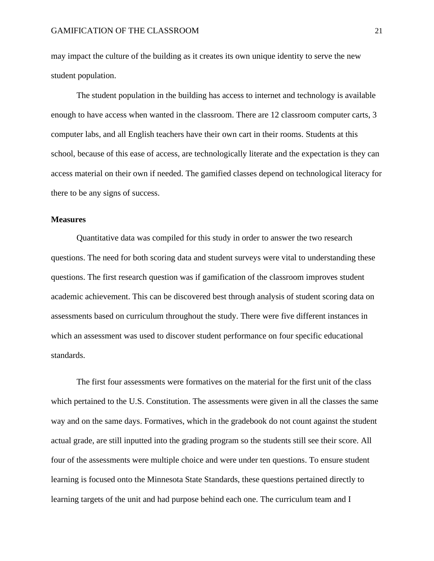may impact the culture of the building as it creates its own unique identity to serve the new student population.

The student population in the building has access to internet and technology is available enough to have access when wanted in the classroom. There are 12 classroom computer carts, 3 computer labs, and all English teachers have their own cart in their rooms. Students at this school, because of this ease of access, are technologically literate and the expectation is they can access material on their own if needed. The gamified classes depend on technological literacy for there to be any signs of success.

## **Measures**

Quantitative data was compiled for this study in order to answer the two research questions. The need for both scoring data and student surveys were vital to understanding these questions. The first research question was if gamification of the classroom improves student academic achievement. This can be discovered best through analysis of student scoring data on assessments based on curriculum throughout the study. There were five different instances in which an assessment was used to discover student performance on four specific educational standards.

The first four assessments were formatives on the material for the first unit of the class which pertained to the U.S. Constitution. The assessments were given in all the classes the same way and on the same days. Formatives, which in the gradebook do not count against the student actual grade, are still inputted into the grading program so the students still see their score. All four of the assessments were multiple choice and were under ten questions. To ensure student learning is focused onto the Minnesota State Standards, these questions pertained directly to learning targets of the unit and had purpose behind each one. The curriculum team and I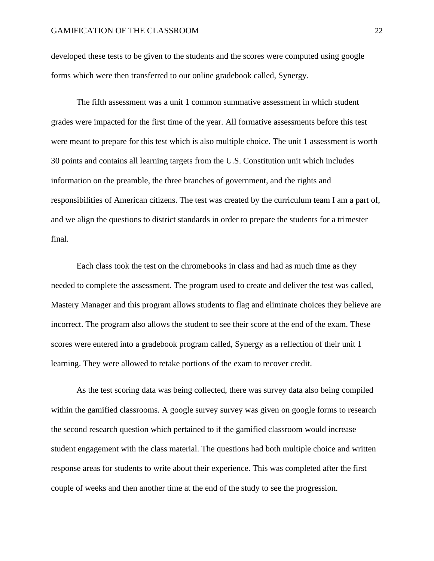developed these tests to be given to the students and the scores were computed using google forms which were then transferred to our online gradebook called, Synergy.

The fifth assessment was a unit 1 common summative assessment in which student grades were impacted for the first time of the year. All formative assessments before this test were meant to prepare for this test which is also multiple choice. The unit 1 assessment is worth 30 points and contains all learning targets from the U.S. Constitution unit which includes information on the preamble, the three branches of government, and the rights and responsibilities of American citizens. The test was created by the curriculum team I am a part of, and we align the questions to district standards in order to prepare the students for a trimester final.

Each class took the test on the chromebooks in class and had as much time as they needed to complete the assessment. The program used to create and deliver the test was called, Mastery Manager and this program allows students to flag and eliminate choices they believe are incorrect. The program also allows the student to see their score at the end of the exam. These scores were entered into a gradebook program called, Synergy as a reflection of their unit 1 learning. They were allowed to retake portions of the exam to recover credit.

As the test scoring data was being collected, there was survey data also being compiled within the gamified classrooms. A google survey survey was given on google forms to research the second research question which pertained to if the gamified classroom would increase student engagement with the class material. The questions had both multiple choice and written response areas for students to write about their experience. This was completed after the first couple of weeks and then another time at the end of the study to see the progression.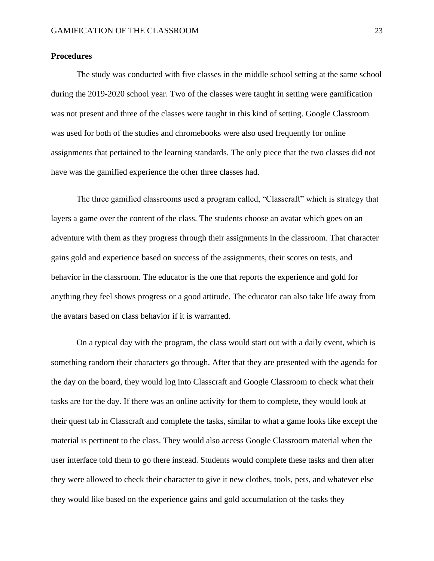## **Procedures**

The study was conducted with five classes in the middle school setting at the same school during the 2019-2020 school year. Two of the classes were taught in setting were gamification was not present and three of the classes were taught in this kind of setting. Google Classroom was used for both of the studies and chromebooks were also used frequently for online assignments that pertained to the learning standards. The only piece that the two classes did not have was the gamified experience the other three classes had.

The three gamified classrooms used a program called, "Classcraft" which is strategy that layers a game over the content of the class. The students choose an avatar which goes on an adventure with them as they progress through their assignments in the classroom. That character gains gold and experience based on success of the assignments, their scores on tests, and behavior in the classroom. The educator is the one that reports the experience and gold for anything they feel shows progress or a good attitude. The educator can also take life away from the avatars based on class behavior if it is warranted.

On a typical day with the program, the class would start out with a daily event, which is something random their characters go through. After that they are presented with the agenda for the day on the board, they would log into Classcraft and Google Classroom to check what their tasks are for the day. If there was an online activity for them to complete, they would look at their quest tab in Classcraft and complete the tasks, similar to what a game looks like except the material is pertinent to the class. They would also access Google Classroom material when the user interface told them to go there instead. Students would complete these tasks and then after they were allowed to check their character to give it new clothes, tools, pets, and whatever else they would like based on the experience gains and gold accumulation of the tasks they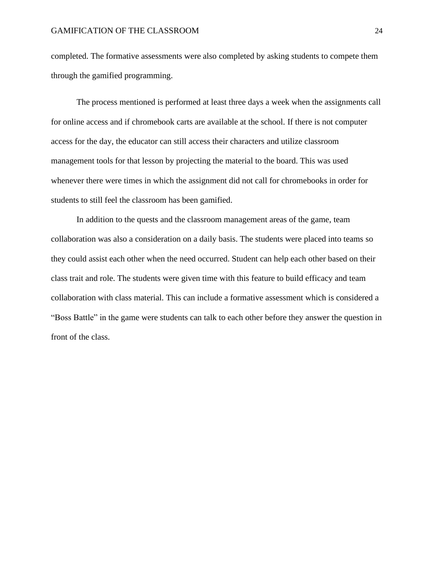completed. The formative assessments were also completed by asking students to compete them through the gamified programming.

The process mentioned is performed at least three days a week when the assignments call for online access and if chromebook carts are available at the school. If there is not computer access for the day, the educator can still access their characters and utilize classroom management tools for that lesson by projecting the material to the board. This was used whenever there were times in which the assignment did not call for chromebooks in order for students to still feel the classroom has been gamified.

In addition to the quests and the classroom management areas of the game, team collaboration was also a consideration on a daily basis. The students were placed into teams so they could assist each other when the need occurred. Student can help each other based on their class trait and role. The students were given time with this feature to build efficacy and team collaboration with class material. This can include a formative assessment which is considered a "Boss Battle" in the game were students can talk to each other before they answer the question in front of the class.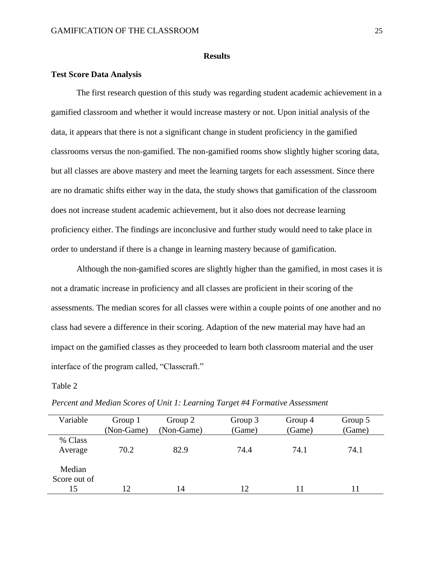## **Results**

## **Test Score Data Analysis**

The first research question of this study was regarding student academic achievement in a gamified classroom and whether it would increase mastery or not. Upon initial analysis of the data, it appears that there is not a significant change in student proficiency in the gamified classrooms versus the non-gamified. The non-gamified rooms show slightly higher scoring data, but all classes are above mastery and meet the learning targets for each assessment. Since there are no dramatic shifts either way in the data, the study shows that gamification of the classroom does not increase student academic achievement, but it also does not decrease learning proficiency either. The findings are inconclusive and further study would need to take place in order to understand if there is a change in learning mastery because of gamification.

Although the non-gamified scores are slightly higher than the gamified, in most cases it is not a dramatic increase in proficiency and all classes are proficient in their scoring of the assessments. The median scores for all classes were within a couple points of one another and no class had severe a difference in their scoring. Adaption of the new material may have had an impact on the gamified classes as they proceeded to learn both classroom material and the user interface of the program called, "Classcraft."

## Table 2

| Variable               | Group 1<br>(Non-Game) | Group 2<br>(Non-Game) | Group 3<br>(Game) | Group 4<br>(Game) | Group 5<br>(Game) |
|------------------------|-----------------------|-----------------------|-------------------|-------------------|-------------------|
| % Class<br>Average     | 70.2                  | 82.9                  | 74.4              | 74.1              | 74.1              |
| Median<br>Score out of |                       |                       |                   |                   |                   |
| 15                     | 12                    | 14                    | 12                |                   | 11                |

*Percent and Median Scores of Unit 1: Learning Target #4 Formative Assessment*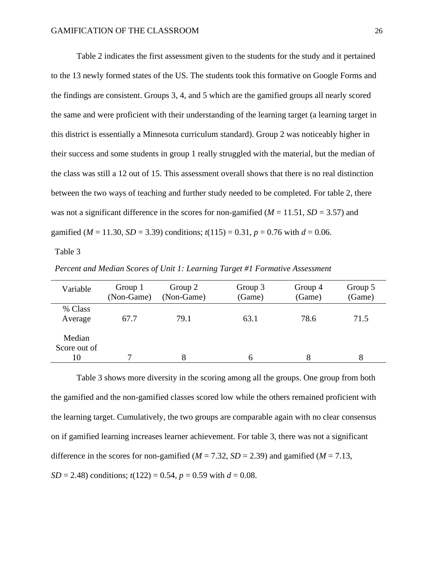Table 2 indicates the first assessment given to the students for the study and it pertained to the 13 newly formed states of the US. The students took this formative on Google Forms and the findings are consistent. Groups 3, 4, and 5 which are the gamified groups all nearly scored the same and were proficient with their understanding of the learning target (a learning target in this district is essentially a Minnesota curriculum standard). Group 2 was noticeably higher in their success and some students in group 1 really struggled with the material, but the median of the class was still a 12 out of 15. This assessment overall shows that there is no real distinction between the two ways of teaching and further study needed to be completed. For table 2, there was not a significant difference in the scores for non-gamified ( $M = 11.51$ ,  $SD = 3.57$ ) and gamified ( $M = 11.30$ ,  $SD = 3.39$ ) conditions;  $t(115) = 0.31$ ,  $p = 0.76$  with  $d = 0.06$ .

Table 3

| Percent and Median Scores of Unit 1: Learning Target #1 Formative Assessment |  |
|------------------------------------------------------------------------------|--|
|                                                                              |  |

| Variable                     | Group 1<br>(Non-Game) | Group 2<br>(Non-Game) | Group 3<br>(Game) | Group 4<br>(Game) | Group 5<br>(Game) |
|------------------------------|-----------------------|-----------------------|-------------------|-------------------|-------------------|
| % Class<br>Average           | 67.7                  | 79.1                  | 63.1              | 78.6              | 71.5              |
| Median<br>Score out of<br>10 |                       |                       | h                 |                   |                   |

Table 3 shows more diversity in the scoring among all the groups. One group from both the gamified and the non-gamified classes scored low while the others remained proficient with the learning target. Cumulatively, the two groups are comparable again with no clear consensus on if gamified learning increases learner achievement. For table 3, there was not a significant difference in the scores for non-gamified ( $M = 7.32$ ,  $SD = 2.39$ ) and gamified ( $M = 7.13$ , *SD* = 2.48) conditions;  $t(122) = 0.54$ ,  $p = 0.59$  with  $d = 0.08$ .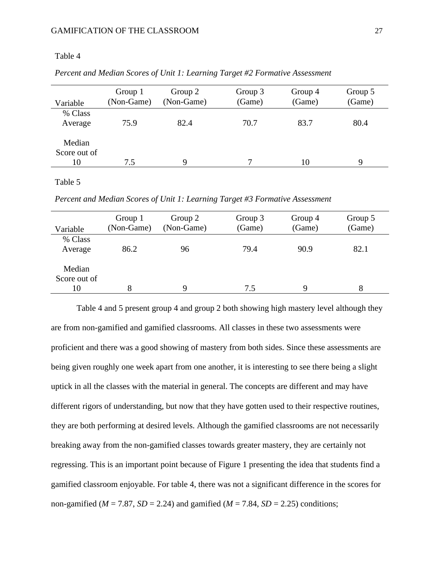## Table 4

| Variable                     | Group 1<br>(Non-Game) | Group 2<br>(Non-Game) | Group 3<br>(Game) | Group 4<br>(Game) | Group 5<br>(Game) |
|------------------------------|-----------------------|-----------------------|-------------------|-------------------|-------------------|
| % Class<br>Average           | 75.9                  | 82.4                  | 70.7              | 83.7              | 80.4              |
| Median<br>Score out of<br>10 | 7.5                   | 9                     |                   | 10                | Q                 |

*Percent and Median Scores of Unit 1: Learning Target #2 Formative Assessment*

#### Table 5

*Percent and Median Scores of Unit 1: Learning Target #3 Formative Assessment*

| Variable                     | Group 1<br>(Non-Game) | Group 2<br>(Non-Game) | Group 3<br>(Game) | Group 4<br>(Game) | Group 5<br>(Game) |
|------------------------------|-----------------------|-----------------------|-------------------|-------------------|-------------------|
| % Class<br>Average           | 86.2                  | 96                    | 79.4              | 90.9              | 82.1              |
| Median<br>Score out of<br>10 |                       | Q                     | 7.5               | 9                 | 8                 |

Table 4 and 5 present group 4 and group 2 both showing high mastery level although they are from non-gamified and gamified classrooms. All classes in these two assessments were proficient and there was a good showing of mastery from both sides. Since these assessments are being given roughly one week apart from one another, it is interesting to see there being a slight uptick in all the classes with the material in general. The concepts are different and may have different rigors of understanding, but now that they have gotten used to their respective routines, they are both performing at desired levels. Although the gamified classrooms are not necessarily breaking away from the non-gamified classes towards greater mastery, they are certainly not regressing. This is an important point because of Figure 1 presenting the idea that students find a gamified classroom enjoyable. For table 4, there was not a significant difference in the scores for non-gamified ( $M = 7.87$ ,  $SD = 2.24$ ) and gamified ( $M = 7.84$ ,  $SD = 2.25$ ) conditions;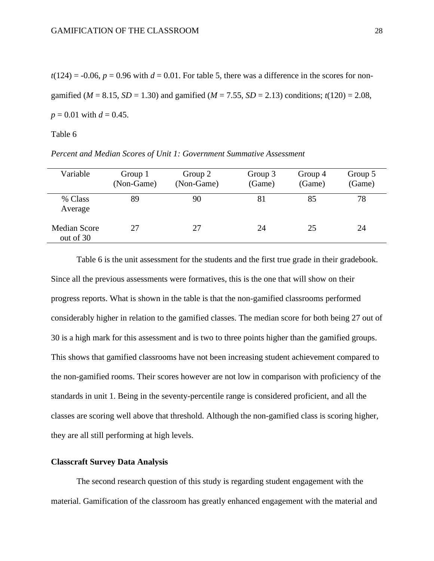$t(124) = -0.06$ ,  $p = 0.96$  with  $d = 0.01$ . For table 5, there was a difference in the scores for nongamified ( $M = 8.15$ ,  $SD = 1.30$ ) and gamified ( $M = 7.55$ ,  $SD = 2.13$ ) conditions;  $t(120) = 2.08$ ,  $p = 0.01$  with  $d = 0.45$ .

## Table 6

| Variable                  | Group 1<br>(Non-Game) | Group 2<br>(Non-Game) | Group 3<br>(Game) | Group 4<br>(Game) | Group 5<br>(Game) |
|---------------------------|-----------------------|-----------------------|-------------------|-------------------|-------------------|
| % Class<br>Average        | 89                    | 90                    | 81                | 85                | 78                |
| Median Score<br>out of 30 | 27                    | 27                    | 24                | 25                | 24                |

*Percent and Median Scores of Unit 1: Government Summative Assessment*

Table 6 is the unit assessment for the students and the first true grade in their gradebook. Since all the previous assessments were formatives, this is the one that will show on their progress reports. What is shown in the table is that the non-gamified classrooms performed considerably higher in relation to the gamified classes. The median score for both being 27 out of 30 is a high mark for this assessment and is two to three points higher than the gamified groups. This shows that gamified classrooms have not been increasing student achievement compared to the non-gamified rooms. Their scores however are not low in comparison with proficiency of the standards in unit 1. Being in the seventy-percentile range is considered proficient, and all the classes are scoring well above that threshold. Although the non-gamified class is scoring higher, they are all still performing at high levels.

#### **Classcraft Survey Data Analysis**

The second research question of this study is regarding student engagement with the material. Gamification of the classroom has greatly enhanced engagement with the material and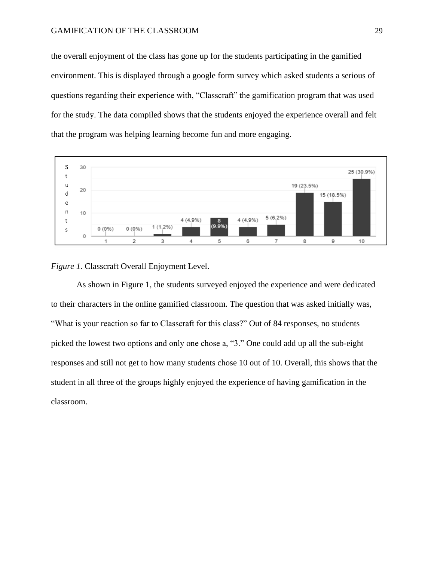the overall enjoyment of the class has gone up for the students participating in the gamified environment. This is displayed through a google form survey which asked students a serious of questions regarding their experience with, "Classcraft" the gamification program that was used for the study. The data compiled shows that the students enjoyed the experience overall and felt that the program was helping learning become fun and more engaging.



*Figure 1.* Classcraft Overall Enjoyment Level.

As shown in Figure 1, the students surveyed enjoyed the experience and were dedicated to their characters in the online gamified classroom. The question that was asked initially was, "What is your reaction so far to Classcraft for this class?" Out of 84 responses, no students picked the lowest two options and only one chose a, "3." One could add up all the sub-eight responses and still not get to how many students chose 10 out of 10. Overall, this shows that the student in all three of the groups highly enjoyed the experience of having gamification in the classroom.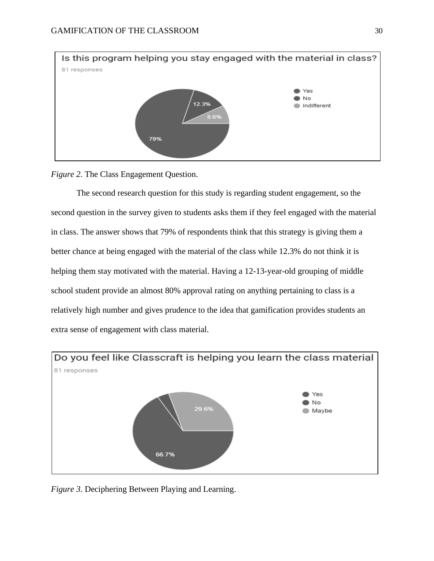

*Figure 2.* The Class Engagement Question.

The second research question for this study is regarding student engagement, so the second question in the survey given to students asks them if they feel engaged with the material in class. The answer shows that 79% of respondents think that this strategy is giving them a better chance at being engaged with the material of the class while 12.3% do not think it is helping them stay motivated with the material. Having a 12-13-year-old grouping of middle school student provide an almost 80% approval rating on anything pertaining to class is a relatively high number and gives prudence to the idea that gamification provides students an extra sense of engagement with class material.



*Figure 3.* Deciphering Between Playing and Learning.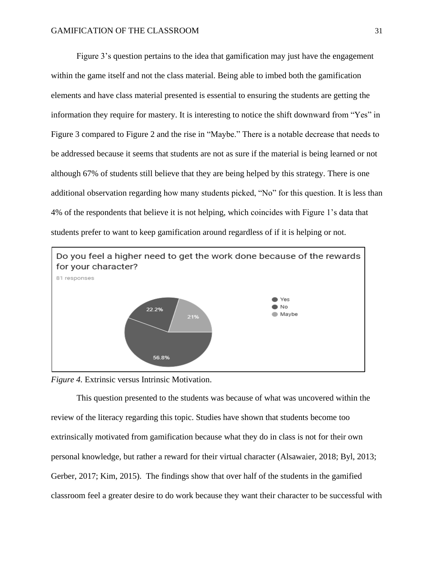Figure 3's question pertains to the idea that gamification may just have the engagement within the game itself and not the class material. Being able to imbed both the gamification elements and have class material presented is essential to ensuring the students are getting the information they require for mastery. It is interesting to notice the shift downward from "Yes" in Figure 3 compared to Figure 2 and the rise in "Maybe." There is a notable decrease that needs to be addressed because it seems that students are not as sure if the material is being learned or not although 67% of students still believe that they are being helped by this strategy. There is one additional observation regarding how many students picked, "No" for this question. It is less than 4% of the respondents that believe it is not helping, which coincides with Figure 1's data that students prefer to want to keep gamification around regardless of if it is helping or not.



*Figure 4.* Extrinsic versus Intrinsic Motivation.

This question presented to the students was because of what was uncovered within the review of the literacy regarding this topic. Studies have shown that students become too extrinsically motivated from gamification because what they do in class is not for their own personal knowledge, but rather a reward for their virtual character (Alsawaier, 2018; Byl, 2013; Gerber, 2017; Kim, 2015). The findings show that over half of the students in the gamified classroom feel a greater desire to do work because they want their character to be successful with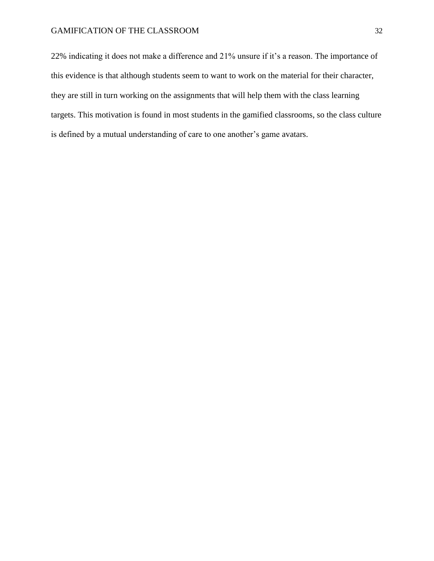22% indicating it does not make a difference and 21% unsure if it's a reason. The importance of this evidence is that although students seem to want to work on the material for their character, they are still in turn working on the assignments that will help them with the class learning targets. This motivation is found in most students in the gamified classrooms, so the class culture is defined by a mutual understanding of care to one another's game avatars.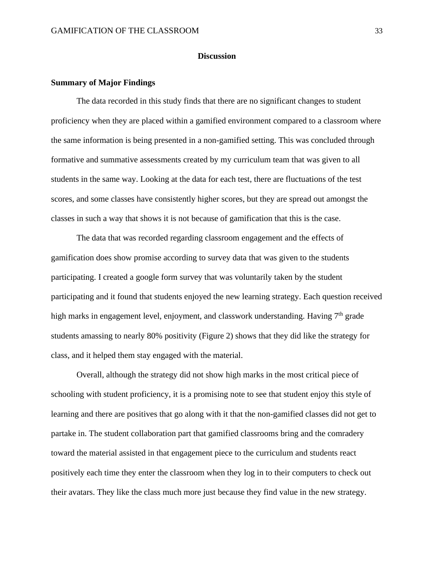## **Discussion**

## **Summary of Major Findings**

The data recorded in this study finds that there are no significant changes to student proficiency when they are placed within a gamified environment compared to a classroom where the same information is being presented in a non-gamified setting. This was concluded through formative and summative assessments created by my curriculum team that was given to all students in the same way. Looking at the data for each test, there are fluctuations of the test scores, and some classes have consistently higher scores, but they are spread out amongst the classes in such a way that shows it is not because of gamification that this is the case.

The data that was recorded regarding classroom engagement and the effects of gamification does show promise according to survey data that was given to the students participating. I created a google form survey that was voluntarily taken by the student participating and it found that students enjoyed the new learning strategy. Each question received high marks in engagement level, enjoyment, and classwork understanding. Having  $7<sup>th</sup>$  grade students amassing to nearly 80% positivity (Figure 2) shows that they did like the strategy for class, and it helped them stay engaged with the material.

Overall, although the strategy did not show high marks in the most critical piece of schooling with student proficiency, it is a promising note to see that student enjoy this style of learning and there are positives that go along with it that the non-gamified classes did not get to partake in. The student collaboration part that gamified classrooms bring and the comradery toward the material assisted in that engagement piece to the curriculum and students react positively each time they enter the classroom when they log in to their computers to check out their avatars. They like the class much more just because they find value in the new strategy.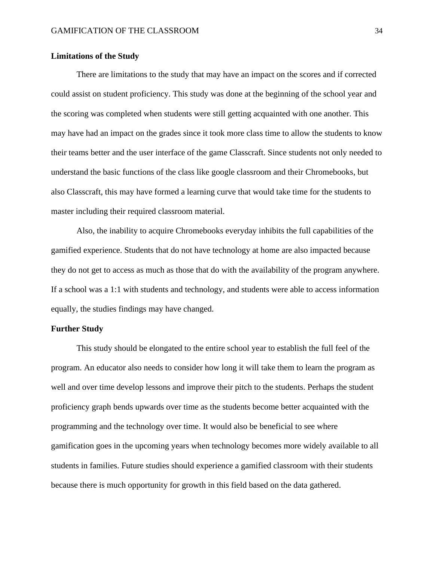## **Limitations of the Study**

There are limitations to the study that may have an impact on the scores and if corrected could assist on student proficiency. This study was done at the beginning of the school year and the scoring was completed when students were still getting acquainted with one another. This may have had an impact on the grades since it took more class time to allow the students to know their teams better and the user interface of the game Classcraft. Since students not only needed to understand the basic functions of the class like google classroom and their Chromebooks, but also Classcraft, this may have formed a learning curve that would take time for the students to master including their required classroom material.

Also, the inability to acquire Chromebooks everyday inhibits the full capabilities of the gamified experience. Students that do not have technology at home are also impacted because they do not get to access as much as those that do with the availability of the program anywhere. If a school was a 1:1 with students and technology, and students were able to access information equally, the studies findings may have changed.

## **Further Study**

This study should be elongated to the entire school year to establish the full feel of the program. An educator also needs to consider how long it will take them to learn the program as well and over time develop lessons and improve their pitch to the students. Perhaps the student proficiency graph bends upwards over time as the students become better acquainted with the programming and the technology over time. It would also be beneficial to see where gamification goes in the upcoming years when technology becomes more widely available to all students in families. Future studies should experience a gamified classroom with their students because there is much opportunity for growth in this field based on the data gathered.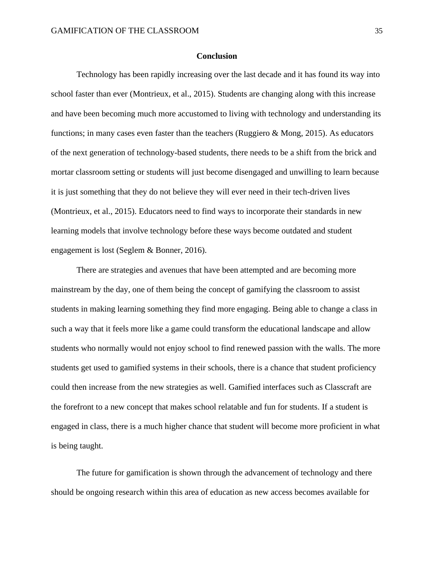## **Conclusion**

Technology has been rapidly increasing over the last decade and it has found its way into school faster than ever (Montrieux, et al., 2015). Students are changing along with this increase and have been becoming much more accustomed to living with technology and understanding its functions; in many cases even faster than the teachers (Ruggiero & Mong, 2015). As educators of the next generation of technology-based students, there needs to be a shift from the brick and mortar classroom setting or students will just become disengaged and unwilling to learn because it is just something that they do not believe they will ever need in their tech-driven lives (Montrieux, et al., 2015). Educators need to find ways to incorporate their standards in new learning models that involve technology before these ways become outdated and student engagement is lost (Seglem & Bonner, 2016).

There are strategies and avenues that have been attempted and are becoming more mainstream by the day, one of them being the concept of gamifying the classroom to assist students in making learning something they find more engaging. Being able to change a class in such a way that it feels more like a game could transform the educational landscape and allow students who normally would not enjoy school to find renewed passion with the walls. The more students get used to gamified systems in their schools, there is a chance that student proficiency could then increase from the new strategies as well. Gamified interfaces such as Classcraft are the forefront to a new concept that makes school relatable and fun for students. If a student is engaged in class, there is a much higher chance that student will become more proficient in what is being taught.

The future for gamification is shown through the advancement of technology and there should be ongoing research within this area of education as new access becomes available for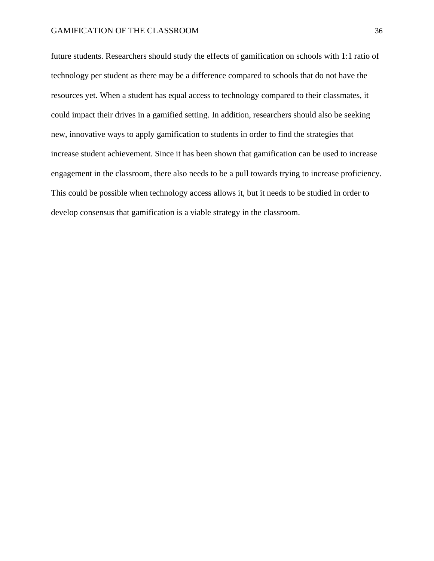future students. Researchers should study the effects of gamification on schools with 1:1 ratio of technology per student as there may be a difference compared to schools that do not have the resources yet. When a student has equal access to technology compared to their classmates, it could impact their drives in a gamified setting. In addition, researchers should also be seeking new, innovative ways to apply gamification to students in order to find the strategies that increase student achievement. Since it has been shown that gamification can be used to increase engagement in the classroom, there also needs to be a pull towards trying to increase proficiency. This could be possible when technology access allows it, but it needs to be studied in order to develop consensus that gamification is a viable strategy in the classroom.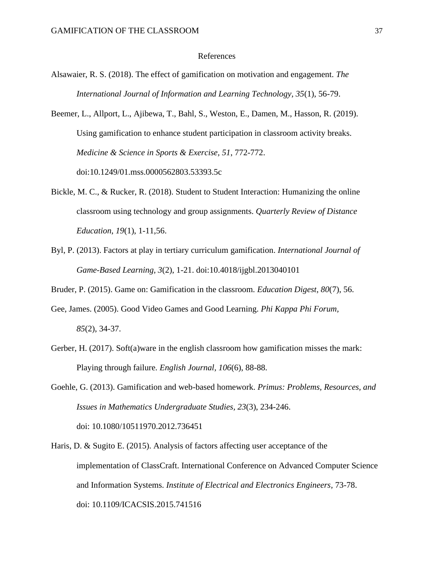#### References

- Alsawaier, R. S. (2018). The effect of gamification on motivation and engagement. *The International Journal of Information and Learning Technology, 35*(1), 56-79.
- Beemer, L., Allport, L., Ajibewa, T., Bahl, S., Weston, E., Damen, M., Hasson, R. (2019). Using gamification to enhance student participation in classroom activity breaks. *Medicine & Science in Sports & Exercise, 51*, 772-772. doi:10.1249/01.mss.0000562803.53393.5c
- Bickle, M. C., & Rucker, R. (2018). Student to Student Interaction: Humanizing the online classroom using technology and group assignments. *Quarterly Review of Distance Education*, *19*(1), 1-11,56.
- Byl, P. (2013). Factors at play in tertiary curriculum gamification. *International Journal of Game-Based Learning, 3*(2), 1-21. doi:10.4018/ijgbl.2013040101

Bruder, P. (2015). Game on: Gamification in the classroom. *Education Digest*, *80*(7), 56.

- Gee, James. (2005). Good Video Games and Good Learning. *Phi Kappa Phi Forum, 85*(2), 34-37.
- Gerber, H. (2017). Soft(a)ware in the english classroom how gamification misses the mark: Playing through failure. *English Journal, 106*(6), 88-88.
- Goehle, G. (2013). Gamification and web-based homework. *Primus: Problems, Resources, and Issues in Mathematics Undergraduate Studies, 23*(3), 234-246. doi: 10.1080/10511970.2012.736451
- Haris, D. & Sugito E. (2015). Analysis of factors affecting user acceptance of the implementation of ClassCraft. International Conference on Advanced Computer Science and Information Systems. *Institute of Electrical and Electronics Engineers,* 73-78. doi: 10.1109/ICACSIS.2015.741516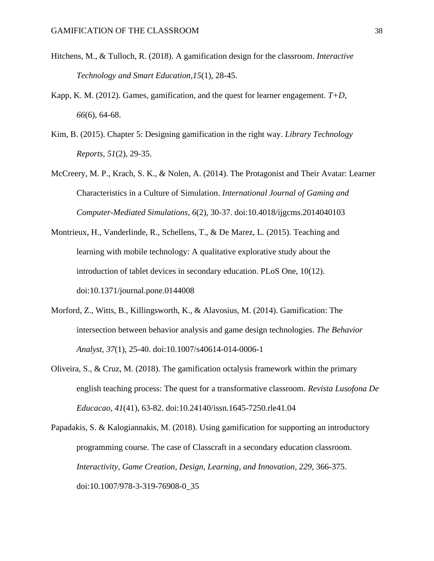- Hitchens, M., & Tulloch, R. (2018). A gamification design for the classroom. *Interactive Technology and Smart Education,15*(1), 28-45.
- Kapp, K. M. (2012). Games, gamification, and the quest for learner engagement. *T+D*, *66*(6), 64-68.
- Kim, B. (2015). Chapter 5: Designing gamification in the right way. *Library Technology Reports, 51*(2), 29-35.
- McCreery, M. P., Krach, S. K., & Nolen, A. (2014). The Protagonist and Their Avatar: Learner Characteristics in a Culture of Simulation. *International Journal of Gaming and Computer-Mediated Simulations*, *6*(2), 30-37. doi:10.4018/ijgcms.2014040103
- Montrieux, H., Vanderlinde, R., Schellens, T., & De Marez, L. (2015). Teaching and learning with mobile technology: A qualitative explorative study about the introduction of tablet devices in secondary education. PLoS One, 10(12). doi:10.1371/journal.pone.0144008
- Morford, Z., Witts, B., Killingsworth, K., & Alavosius, M. (2014). Gamification: The intersection between behavior analysis and game design technologies. *The Behavior Analyst, 37*(1), 25-40. doi:10.1007/s40614-014-0006-1
- Oliveira, S., & Cruz, M. (2018). The gamification octalysis framework within the primary english teaching process: The quest for a transformative classroom. *Revista Lusofona De Educacao, 41*(41), 63-82. doi:10.24140/issn.1645-7250.rle41.04
- Papadakis, S. & Kalogiannakis, M. (2018). Using gamification for supporting an introductory programming course. The case of Classcraft in a secondary education classroom. *Interactivity, Game Creation, Design, Learning, and Innovation, 229*, 366-375. doi:10.1007/978-3-319-76908-0\_35